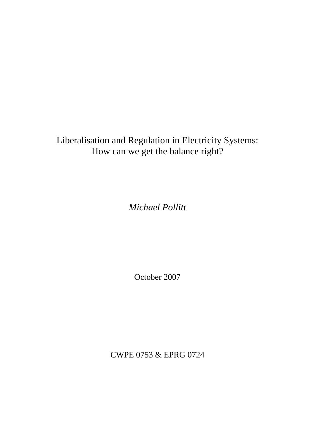Liberalisation and Regulation in Electricity Systems: How can we get the balance right?

*Michael Pollitt* 

October 2007

CWPE 0753 & EPRG 0724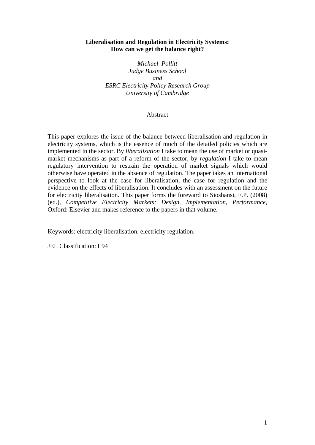#### **Liberalisation and Regulation in Electricity Systems: How can we get the balance right?**

*Michael Pollitt Judge Business School and ESRC Electricity Policy Research Group University of Cambridge* 

#### Abstract

This paper explores the issue of the balance between liberalisation and regulation in electricity systems, which is the essence of much of the detailed policies which are implemented in the sector. By *liberalisation* I take to mean the use of market or quasimarket mechanisms as part of a reform of the sector, by *regulation* I take to mean regulatory intervention to restrain the operation of market signals which would otherwise have operated in the absence of regulation. The paper takes an international perspective to look at the case for liberalisation, the case for regulation and the evidence on the effects of liberalisation. It concludes with an assessment on the future for electricity liberalisation. This paper forms the foreward to Sioshansi, F.P. (2008) (ed.), *Competitive Electricity Markets: Design, Implementation, Performance*, Oxford: Elsevier and makes reference to the papers in that volume.

Keywords: electricity liberalisation, electricity regulation.

JEL Classification: L94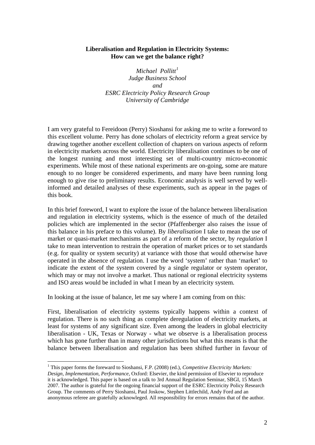# **Liberalisation and Regulation in Electricity Systems: How can we get the balance right?**

*Michael Pollitt[1](#page-2-0) Judge Business School and ESRC Electricity Policy Research Group University of Cambridge* 

I am very grateful to Fereidoon (Perry) Sioshansi for asking me to write a foreword to this excellent volume. Perry has done scholars of electricity reform a great service by drawing together another excellent collection of chapters on various aspects of reform in electricity markets across the world. Electricity liberalisation continues to be one of the longest running and most interesting set of multi-country micro-economic experiments. While most of these national experiments are on-going, some are mature enough to no longer be considered experiments, and many have been running long enough to give rise to preliminary results. Economic analysis is well served by wellinformed and detailed analyses of these experiments, such as appear in the pages of this book.

In this brief foreword, I want to explore the issue of the balance between liberalisation and regulation in electricity systems, which is the essence of much of the detailed policies which are implemented in the sector (Pfaffenberger also raises the issue of this balance in his preface to this volume). By *liberalisation* I take to mean the use of market or quasi-market mechanisms as part of a reform of the sector, by *regulation* I take to mean intervention to restrain the operation of market prices or to set standards (e.g. for quality or system security) at variance with those that would otherwise have operated in the absence of regulation. I use the word 'system' rather than 'market' to indicate the extent of the system covered by a single regulator or system operator, which may or may not involve a market. Thus national or regional electricity systems and ISO areas would be included in what I mean by an electricity system.

In looking at the issue of balance, let me say where I am coming from on this:

1

First, liberalisation of electricity systems typically happens within a context of regulation. There is no such thing as complete deregulation of electricity markets, at least for systems of any significant size. Even among the leaders in global electricity liberalisation - UK, Texas or Norway - what we observe is a liberalisation process which has gone further than in many other jurisdictions but what this means is that the balance between liberalisation and regulation has been shifted further in favour of

<span id="page-2-0"></span><sup>&</sup>lt;sup>1</sup> This paper forms the foreward to Sioshansi, F.P. (2008) (ed.), *Competitive Electricity Markets: Design, Implementation, Performance*, Oxford: Elsevier, the kind permission of Elsevier to reproduce it is acknowledged. This paper is based on a talk to 3rd Annual Regulation Seminar, SBGI, 15 March 2007. The author is grateful for the ongoing financial support of the ESRC Electricity Policy Research Group. The comments of Perry Sioshansi, Paul Joskow, Stephen Littlechild, Andy Ford and an anonymous referee are gratefully acknowleged. All responsibility for errors remains that of the author.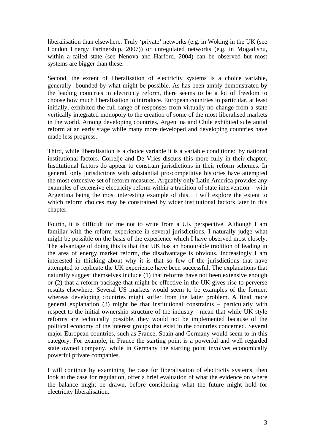liberalisation than elsewhere. Truly 'private' networks (e.g. in Woking in the UK (see London Energy Partnership, 2007)) or unregulated networks (e.g. in Mogadishu, within a failed state (see Nenova and Harford, 2004) can be observed but most systems are bigger than these.

Second, the extent of liberalisation of electricity systems is a choice variable, generally bounded by what might be possible. As has been amply demonstrated by the leading countries in electricity reform, there seems to be a lot of freedom to choose how much liberalisation to introduce. European countries in particular, at least initially, exhibited the full range of responses from virtually no change from a state vertically integrated monopoly to the creation of some of the most liberalised markets in the world. Among developing countries, Argentina and Chile exhibited substantial reform at an early stage while many more developed and developing countries have made less progress.

Third, while liberalisation is a choice variable it is a variable conditioned by national institutional factors. Correlje and De Vries discuss this more fully in their chapter. Institutional factors do appear to constrain jurisdictions in their reform schemes. In general, only jurisdictions with substantial pro-competitive histories have attempted the most extensive set of reform measures. Arguably only Latin America provides any examples of extensive electricity reform within a tradition of state intervention – with Argentina being the most interesting example of this. I will explore the extent to which reform choices may be constrained by wider institutional factors later in this chapter.

Fourth, it is difficult for me not to write from a UK perspective. Although I am familiar with the reform experience in several jurisdictions, I naturally judge what might be possible on the basis of the experience which I have observed most closely. The advantage of doing this is that that UK has an honourable tradition of leading in the area of energy market reform, the disadvantage is obvious. Increasingly I am interested in thinking about why it is that so few of the jurisdictions that have attempted to replicate the UK experience have been successful. The explanations that naturally suggest themselves include (1) that reforms have not been extensive enough or (2) that a reform package that might be effective in the UK gives rise to perverse results elsewhere. Several US markets would seem to be examples of the former, whereas developing countries might suffer from the latter problem. A final more general explanation (3) might be that institutional constraints – particularly with respect to the initial ownership structure of the industry - mean that while UK style reforms are technically possible, they would not be implemented because of the political economy of the interest groups that exist in the countries concerned. Several major European countries, such as France, Spain and Germany would seem to in this category. For example, in France the starting point is a powerful and well regarded state owned company, while in Germany the starting point involves economically powerful private companies.

I will continue by examining the case for liberalisation of electricity systems, then look at the case for regulation, offer a brief evaluation of what the evidence on where the balance might be drawn, before considering what the future might hold for electricity liberalisation.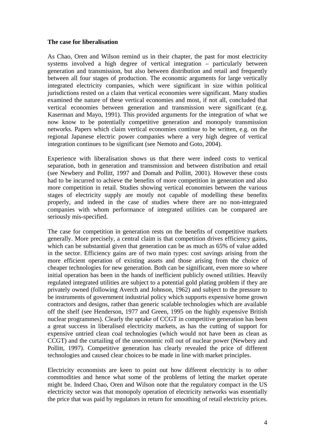#### **The case for liberalisation**

As Chao, Oren and Wilson remind us in their chapter, the past for most electricity systems involved a high degree of vertical integration – particularly between generation and transmission, but also between distribution and retail and frequently between all four stages of production. The economic arguments for large vertically integrated electricity companies, which were significant in size within political jurisdictions rested on a claim that vertical economies were significant. Many studies examined the nature of these vertical economies and most, if not all, concluded that vertical economies between generation and transmission were significant (e.g. Kaserman and Mayo, 1991). This provided arguments for the integration of what we now know to be potentially competitive generation and monopoly transmission networks. Papers which claim vertical economies continue to be written, e.g. on the regional Japanese electric power companies where a very high degree of vertical integration continues to be significant (see Nemoto and Goto, 2004).

Experience with liberalisation shows us that there were indeed costs to vertical separation, both in generation and transmission and between distribution and retail (see Newbery and Pollitt, 1997 and Domah and Pollitt, 2001). However these costs had to be incurred to achieve the benefits of more competition in generation and also more competition in retail. Studies showing vertical economies between the various stages of electricity supply are mostly not capable of modelling these benefits properly, and indeed in the case of studies where there are no non-integrated companies with whom performance of integrated utilities can be compared are seriously mis-specified.

The case for competition in generation rests on the benefits of competitive markets generally. More precisely, a central claim is that competition drives efficiency gains, which can be substantial given that generation can be as much as 65% of value added in the sector. Efficiency gains are of two main types: cost savings arising from the more efficient operation of existing assets and those arising from the choice of cheaper technologies for new generation. Both can be significant, even more so where initial operation has been in the hands of inefficient publicly owned utilities. Heavily regulated integrated utilities are subject to a potential gold plating problem if they are privately owned (following Averch and Johnson, 1962) and subject to the pressure to be instruments of government industrial policy which supports expensive home grown contractors and designs, rather than generic scalable technologies which are available off the shelf (see Henderson, 1977 and Green, 1995 on the highly expensive British nuclear programmes). Clearly the uptake of CCGT in competitive generation has been a great success in liberalised electricity markets, as has the cutting of support for expensive untried clean coal technologies (which would not have been as clean as CCGT) and the curtailing of the uneconomic roll out of nuclear power (Newbery and Pollitt, 1997). Competitive generation has clearly revealed the price of different technologies and caused clear choices to be made in line with market principles.

Electricity economists are keen to point out how different electricity is to other commodities and hence what some of the problems of letting the market operate might be. Indeed Chao, Oren and Wilson note that the regulatory compact in the US electricity sector was that monopoly operation of electricity networks was essentially the price that was paid by regulators in return for smoothing of retail electricity prices.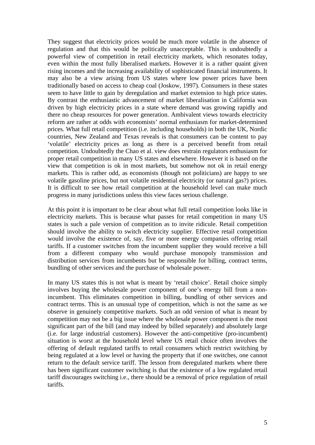They suggest that electricity prices would be much more volatile in the absence of regulation and that this would be politically unacceptable. This is undoubtedly a powerful view of competition in retail electricity markets, which resonates today, even within the most fully liberalised markets. However it is a rather quaint given rising incomes and the increasing availability of sophisticated financial instruments. It may also be a view arising from US states where low power prices have been traditionally based on access to cheap coal (Joskow, 1997). Consumers in these states seem to have little to gain by deregulation and market extension to high price states. By contrast the enthusiastic advancement of market liberalisation in California was driven by high electricity prices in a state where demand was growing rapidly and there no cheap resources for power generation. Ambivalent views towards electricity reform are rather at odds with economists' normal enthusiasm for market-determined prices. What full retail competition (i.e. including households) in both the UK, Nordic countries, New Zealand and Texas reveals is that consumers can be content to pay 'volatile' electricity prices as long as there is a perceived benefit from retail competition. Undoubtedly the Chao et al. view does restrain regulators enthusiasm for proper retail competition in many US states and elsewhere. However it is based on the view that competition is ok in most markets, but somehow not ok in retail energy markets. This is rather odd, as economists (though not politicians) are happy to see volatile gasoline prices, but not volatile residential electricity (or natural gas?) prices. It is difficult to see how retail competition at the household level can make much progress in many jurisdictions unless this view faces serious challenge.

At this point it is important to be clear about what full retail competition looks like in electricity markets. This is because what passes for retail competition in many US states is such a pale version of competition as to invite ridicule. Retail competition should involve the ability to switch electricity supplier. Effective retail competition would involve the existence of, say, five or more energy companies offering retail tariffs. If a customer switches from the incumbent supplier they would receive a bill from a different company who would purchase monopoly transmission and distribution services from incumbents but be responsible for billing, contract terms, bundling of other services and the purchase of wholesale power.

In many US states this is not what is meant by 'retail choice'. Retail choice simply involves buying the wholesale power component of one's energy bill from a nonincumbent. This eliminates competition in billing, bundling of other services and contract terms. This is an unusual type of competition, which is not the same as we observe in genuinely competitive markets. Such an odd version of what is meant by competition may not be a big issue where the wholesale power component is the most significant part of the bill (and may indeed by billed separately) and absolutely large (i.e. for large industrial customers). However the anti-competitive (pro-incumbent) situation is worst at the household level where US retail choice often involves the offering of default regulated tariffs to retail consumers which restrict switching by being regulated at a low level or having the property that if one switches, one cannot return to the default service tariff. The lesson from deregulated markets where there has been significant customer switching is that the existence of a low regulated retail tariff discourages switching i.e., there should be a removal of price regulation of retail tariffs.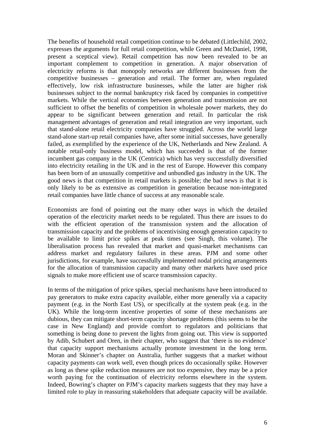The benefits of household retail competition continue to be debated (Littlechild, 2002, expresses the arguments for full retail competition, while Green and McDaniel, 1998, present a sceptical view). Retail competition has now been revealed to be an important complement to competition in generation. A major observation of electricity reforms is that monopoly networks are different businesses from the competitive businesses – generation and retail. The former are, when regulated effectively, low risk infrastructure businesses, while the latter are higher risk businesses subject to the normal bankruptcy risk faced by companies in competitive markets. While the vertical economies between generation and transmission are not sufficient to offset the benefits of competition in wholesale power markets, they do appear to be significant between generation and retail. In particular the risk management advantages of generation and retail integration are very important, such that stand-alone retail electricity companies have struggled. Across the world large stand-alone start-up retail companies have, after some initial successes, have generally failed, as exemplified by the experience of the UK, Netherlands and New Zealand. A notable retail-only business model, which has succeeded is that of the former incumbent gas company in the UK (Centrica) which has very successfully diversified into electricity retailing in the UK and in the rest of Europe. However this company has been born of an unusually competitive and unbundled gas industry in the UK. The good news is that competition in retail markets is possible; the bad news is that it is only likely to be as extensive as competition in generation because non-integrated retail companies have little chance of success at any reasonable scale.

Economists are fond of pointing out the many other ways in which the detailed operation of the electricity market needs to be regulated. Thus there are issues to do with the efficient operation of the transmission system and the allocation of transmission capacity and the problems of incentivising enough generation capacity to be available to limit price spikes at peak times (see Singh, this volume). The liberalisation process has revealed that market and quasi-market mechanisms can address market and regulatory failures in these areas. PJM and some other jurisdictions, for example, have successfully implemented nodal pricing arrangements for the allocation of transmission capacity and many other markets have used price signals to make more efficient use of scarce transmission capacity.

In terms of the mitigation of price spikes, special mechanisms have been introduced to pay generators to make extra capacity available, either more generally via a capacity payment (e.g. in the North East US), or specifically at the system peak (e.g. in the UK). While the long-term incentive properties of some of these mechanisms are dubious, they can mitigate short-term capacity shortage problems (this seems to be the case in New England) and provide comfort to regulators and politicians that something is being done to prevent the lights from going out. This view is supported by Adib, Schubert and Oren, in their chapter, who suggest that 'there is no evidence' that capacity support mechanisms actually promote investment in the long term. Moran and Skinner's chapter on Australia, further suggests that a market without capacity payments can work well, even though prices do occasionally spike. However as long as these spike reduction measures are not too expensive, they may be a price worth paying for the continuation of electricity reforms elsewhere in the system. Indeed, Bowring's chapter on PJM's capacity markets suggests that they may have a limited role to play in reassuring stakeholders that adequate capacity will be available.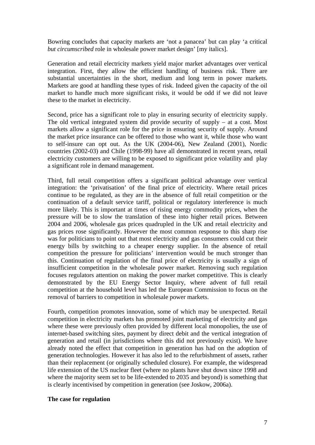Bowring concludes that capacity markets are 'not a panacea' but can play 'a critical *but circumscribed* role in wholesale power market design' [my italics].

Generation and retail electricity markets yield major market advantages over vertical integration. First, they allow the efficient handling of business risk. There are substantial uncertainties in the short, medium and long term in power markets. Markets are good at handling these types of risk. Indeed given the capacity of the oil market to handle much more significant risks, it would be odd if we did not leave these to the market in electricity.

Second, price has a significant role to play in ensuring security of electricity supply. The old vertical integrated system did provide security of supply – at a cost. Most markets allow a significant role for the price in ensuring security of supply. Around the market price insurance can be offered to those who want it, while those who want to self-insure can opt out. As the UK (2004-06), New Zealand (2001), Nordic countries (2002-03) and Chile (1998-99) have all demonstrated in recent years, retail electricity customers are willing to be exposed to significant price volatility and play a significant role in demand management.

Third, full retail competition offers a significant political advantage over vertical integration: the 'privatisation' of the final price of electricity. Where retail prices continue to be regulated, as they are in the absence of full retail competition or the continuation of a default service tariff, political or regulatory interference is much more likely. This is important at times of rising energy commodity prices, when the pressure will be to slow the translation of these into higher retail prices. Between 2004 and 2006, wholesale gas prices quadrupled in the UK and retail electricity and gas prices rose significantly. However the most common response to this sharp rise was for politicians to point out that most electricity and gas consumers could cut their energy bills by switching to a cheaper energy supplier. In the absence of retail competition the pressure for politicians' intervention would be much stronger than this. Continuation of regulation of the final price of electricity is usually a sign of insufficient competition in the wholesale power market. Removing such regulation focuses regulators attention on making the power market competitive. This is clearly demonstrated by the EU Energy Sector Inquiry, where advent of full retail competition at the household level has led the European Commission to focus on the removal of barriers to competition in wholesale power markets.

Fourth, competition promotes innovation, some of which may be unexpected. Retail competition in electricity markets has promoted joint marketing of electricity and gas where these were previously often provided by different local monopolies, the use of internet-based switching sites, payment by direct debit and the vertical integration of generation and retail (in jurisdictions where this did not previously exist). We have already noted the effect that competition in generation has had on the adoption of generation technologies. However it has also led to the refurbishment of assets, rather than their replacement (or originally scheduled closure). For example, the widespread life extension of the US nuclear fleet (where no plants have shut down since 1998 and where the majority seem set to be life-extended to 2035 and beyond) is something that is clearly incentivised by competition in generation (see Joskow, 2006a).

# **The case for regulation**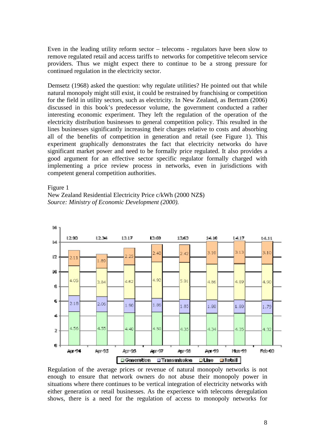Even in the leading utility reform sector – telecoms - regulators have been slow to remove regulated retail and access tariffs to networks for competitive telecom service providers. Thus we might expect there to continue to be a strong pressure for continued regulation in the electricity sector.

Demsetz (1968) asked the question: why regulate utilities? He pointed out that while natural monopoly might still exist, it could be restrained by franchising or competition for the field in utility sectors, such as electricity. In New Zealand, as Bertram (2006) discussed in this book's predecessor volume, the government conducted a rather interesting economic experiment. They left the regulation of the operation of the electricity distribution businesses to general competition policy. This resulted in the lines businesses significantly increasing their charges relative to costs and absorbing all of the benefits of competition in generation and retail (see Figure 1). This experiment graphically demonstrates the fact that electricity networks do have significant market power and need to be formally price regulated. It also provides a good argument for an effective sector specific regulator formally charged with implementing a price review process in networks, even in jurisdictions with competent general competition authorities.

Figure 1

New Zealand Residential Electricity Price c/kWh (2000 NZ\$) *Source: Ministry of Economic Development (2000).* 



Regulation of the average prices or revenue of natural monopoly networks is not enough to ensure that network owners do not abuse their monopoly power in situations where there continues to be vertical integration of electricity networks with either generation or retail businesses. As the experience with telecoms deregulation shows, there is a need for the regulation of access to monopoly networks for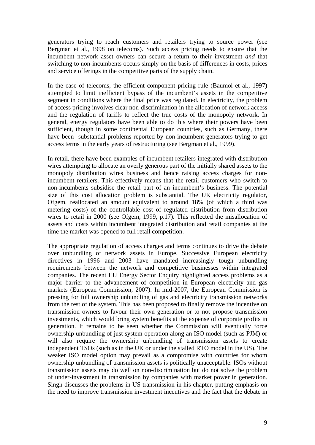generators trying to reach customers and retailers trying to source power (see Bergman et al., 1998 on telecoms). Such access pricing needs to ensure that the incumbent network asset owners can secure a return to their investment *and* that switching to non-incumbents occurs simply on the basis of differences in costs, prices and service offerings in the competitive parts of the supply chain.

In the case of telecoms, the efficient component pricing rule (Baumol et al., 1997) attempted to limit inefficient bypass of the incumbent's assets in the competitive segment in conditions where the final price was regulated. In electricity, the problem of access pricing involves clear non-discrimination in the allocation of network access and the regulation of tariffs to reflect the true costs of the monopoly network. In general, energy regulators have been able to do this where their powers have been sufficient, though in some continental European countries, such as Germany, there have been substantial problems reported by non-incumbent generators trying to get access terms in the early years of restructuring (see Bergman et al., 1999).

In retail, there have been examples of incumbent retailers integrated with distribution wires attempting to allocate an overly generous part of the initially shared assets to the monopoly distribution wires business and hence raising access charges for nonincumbent retailers. This effectively means that the retail customers who switch to non-incumbents subsidise the retail part of an incumbent's business. The potential size of this cost allocation problem is substantial. The UK electricity regulator, Ofgem, reallocated an amount equivalent to around 18% (of which a third was metering costs) of the controllable cost of regulated distribution from distribution wires to retail in 2000 (see Ofgem, 1999, p.17). This reflected the misallocation of assets and costs within incumbent integrated distribution and retail companies at the time the market was opened to full retail competition.

The appropriate regulation of access charges and terms continues to drive the debate over unbundling of network assets in Europe. Successive European electricity directives in 1996 and 2003 have mandated increasingly tough unbundling requirements between the network and competitive businesses within integrated companies. The recent EU Energy Sector Enquiry highlighted access problems as a major barrier to the advancement of competition in European electricity and gas markets (European Commission, 2007). In mid-2007, the European Commission is pressing for full ownership unbundling of gas and electricity transmission networks from the rest of the system. This has been proposed to finally remove the incentive on transmission owners to favour their own generation or to not propose transmission investments, which would bring system benefits at the expense of corporate profits in generation. It remains to be seen whether the Commission will eventually force ownership unbundling of just system operation along an ISO model (such as PJM) or will also require the ownership unbundling of transmission assets to create independent TSOs (such as in the UK or under the stalled RTO model in the US). The weaker ISO model option may prevail as a compromise with countries for whom ownership unbundling of transmission assets is politically unacceptable. ISOs without transmission assets may do well on non-discrimination but do not solve the problem of under-investment in transmission by companies with market power in generation. Singh discusses the problems in US transmission in his chapter, putting emphasis on the need to improve transmission investment incentives and the fact that the debate in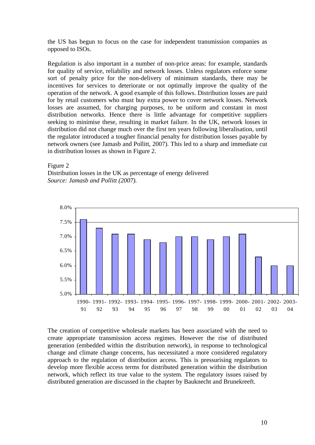the US has begun to focus on the case for independent transmission companies as opposed to ISOs.

Regulation is also important in a number of non-price areas: for example, standards for quality of service, reliability and network losses. Unless regulators enforce some sort of penalty price for the non-delivery of minimum standards, there may be incentives for services to deteriorate or not optimally improve the quality of the operation of the network. A good example of this follows. Distribution losses are paid for by retail customers who must buy extra power to cover network losses. Network losses are assumed, for charging purposes, to be uniform and constant in most distribution networks. Hence there is little advantage for competitive suppliers seeking to minimise these, resulting in market failure. In the UK, network losses in distribution did not change much over the first ten years following liberalisation, until the regulator introduced a tougher financial penalty for distribution losses payable by network owners (see Jamasb and Pollitt, 2007). This led to a sharp and immediate cut in distribution losses as shown in Figure 2.

#### Figure 2

Distribution losses in the UK as percentage of energy delivered *Source: Jamasb and Pollitt (2007).* 



The creation of competitive wholesale markets has been associated with the need to create appropriate transmission access regimes. However the rise of distributed generation (embedded within the distribution network), in response to technological change and climate change concerns, has necessitated a more considered regulatory approach to the regulation of distribution access. This is pressurising regulators to develop more flexible access terms for distributed generation within the distribution network, which reflect its true value to the system. The regulatory issues raised by distributed generation are discussed in the chapter by Bauknecht and Brunekreeft.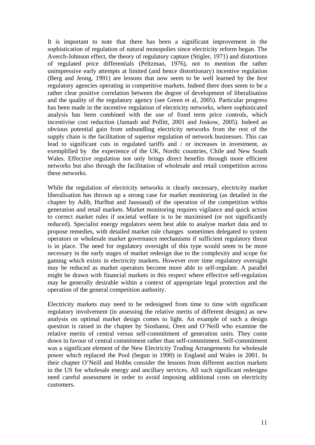It is important to note that there has been a significant improvement in the sophistication of regulation of natural monopolies since electricity reform began. The Averch-Johnson effect, the theory of regulatory capture (Stigler, 1971) and distortions of regulated price differentials (Peltzman, 1976), not to mention the rather unimpressive early attempts at limited (and hence distortionary) incentive regulation (Berg and Jeong, 1991) are lessons that now seem to be well learned by the *best* regulatory agencies operating in competitive markets. Indeed there does seem to be a rather clear positive correlation between the degree of development of liberalisation and the quality of the regulatory agency (see Green et al, 2005). Particular progress has been made in the incentive regulation of electricity networks, where sophisticated analysis has been combined with the use of fixed term price controls, which incentivise cost reduction (Jamasb and Pollitt, 2001 and Joskow, 2005). Indeed an obvious potential gain from unbundling electricity networks from the rest of the supply chain is the facilitation of superior regulation of network businesses. This can lead to significant cuts in regulated tariffs and / or increases in investment, as exemplified by the experience of the UK, Nordic countries, Chile and New South Wales. Effective regulation not only brings direct benefits through more efficient networks but also through the facilitation of wholesale and retail competition across these networks.

While the regulation of electricity networks is clearly necessary, electricity market liberalisation has thrown up a strong case for market monitoring (as detailed in the chapter by Adib, Hurlbut and Jaussaud) of the operation of the competition within generation and retail markets. Market monitoring requires vigilance and quick action to correct market rules if societal welfare is to be maximised (or not significantly reduced). Specialist energy regulators seem best able to analyse market data and to propose remedies, with detailed market rule changes sometimes delegated to system operators or wholesale market governance mechanisms if sufficient regulatory threat is in place. The need for regulatory oversight of this type would seem to be more necessary in the early stages of market redesign due to the complexity and scope for gaming which exists in electricity markets. However over time regulatory oversight may be reduced as market operators become more able to self-regulate. A parallel might be drawn with financial markets in this respect where effective self-regulation may be generally desirable within a context of appropriate legal protection and the operation of the general competition authority.

Electricity markets may need to be redesigned from time to time with significant regulatory involvement (in assessing the relative merits of different designs) as new analysis on optimal market design comes to light. An example of such a design question is raised in the chapter by Sioshansi, Oren and O'Neill who examine the relative merits of central versus self-commitment of generation units. They come down in favour of central commitment rather than self-commitment. Self-commitment was a significant element of the New Electricity Trading Arrangements for wholesale power which replaced the Pool (begun in 1990) in England and Wales in 2001. In their chapter O'Neill and Hobbs consider the lessons from different auction markets in the US for wholesale energy and ancillary services. All such significant redesigns need careful assessment in order to avoid imposing additional costs on electricity customers.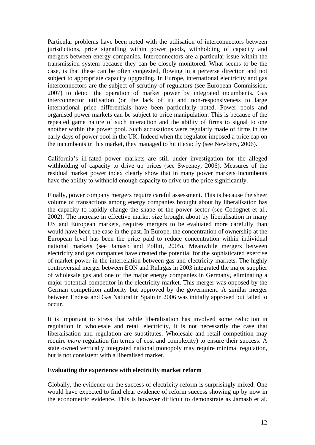Particular problems have been noted with the utilisation of interconnectors between jurisdictions, price signalling within power pools, withholding of capacity and mergers between energy companies. Interconnectors are a particular issue within the transmission system because they can be closely monitored. What seems to be the case, is that these can be often congested, flowing in a perverse direction and not subject to appropriate capacity upgrading. In Europe, international electricity and gas interconnectors are the subject of scrutiny of regulators (see European Commission, 2007) to detect the operation of market power by integrated incumbents. Gas interconnector utilisation (or the lack of it) and non-responsiveness to large international price differentials have been particularly noted. Power pools and organised power markets can be subject to price manipulation. This is because of the repeated game nature of such interaction and the ability of firms to signal to one another within the power pool. Such accusations were regularly made of firms in the early days of power pool in the UK. Indeed when the regulator imposed a price cap on the incumbents in this market, they managed to hit it exactly (see Newbery, 2006).

California's ill-fated power markets are still under investigation for the alleged withholding of capacity to drive up prices (see Sweeney, 2006). Measures of the residual market power index clearly show that in many power markets incumbents have the ability to withhold enough capacity to drive up the price significantly.

Finally, power company mergers require careful assessment. This is because the sheer volume of transactions among energy companies brought about by liberalisation has the capacity to rapidly change the shape of the power sector (see Codognet et al., 2002). The increase in effective market size brought about by liberalisation in many US and European markets, requires mergers to be evaluated more carefully than would have been the case in the past. In Europe, the concentration of ownership at the European level has been the price paid to reduce concentration within individual national markets (see Jamasb and Pollitt, 2005). Meanwhile mergers between electricity and gas companies have created the potential for the sophisticated exercise of market power in the interrelation between gas and electricity markets. The highly controversial merger between EON and Ruhrgas in 2003 integrated the major supplier of wholesale gas and one of the major energy companies in Germany, eliminating a major potential competitor in the electricity market. This merger was opposed by the German competition authority but approved by the government. A similar merger between Endesa and Gas Natural in Spain in 2006 was initially approved but failed to occur.

It is important to stress that while liberalisation has involved some reduction in regulation in wholesale and retail electricity, it is not necessarily the case that liberalisation and regulation are substitutes. Wholesale and retail competition may require *more* regulation (in terms of cost and complexity) to ensure their success. A state owned vertically integrated national monopoly may require minimal regulation, but is not consistent with a liberalised market.

# **Evaluating the experience with electricity market reform**

Globally, the evidence on the success of electricity reform is surprisingly mixed. One would have expected to find clear evidence of reform success showing up by now in the econometric evidence. This is however difficult to demonstrate as Jamasb et al.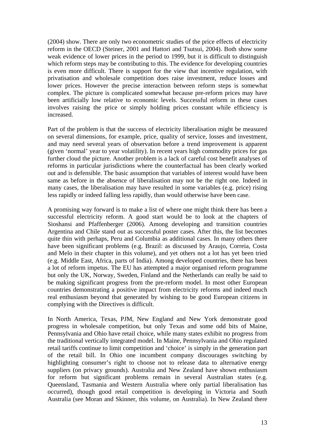(2004) show. There are only two econometric studies of the price effects of electricity reform in the OECD (Steiner, 2001 and Hattori and Tsutsui, 2004). Both show some weak evidence of lower prices in the period to 1999, but it is difficult to distinguish which reform steps may be contributing to this. The evidence for developing countries is even more difficult. There is support for the view that incentive regulation, with privatisation and wholesale competition does raise investment, reduce losses and lower prices. However the precise interaction between reform steps is somewhat complex. The picture is complicated somewhat because pre-reform prices may have been artificially low relative to economic levels. Successful reform in these cases involves raising the price or simply holding prices constant while efficiency is increased.

Part of the problem is that the success of electricity liberalisation might be measured on several dimensions, for example, price, quality of service, losses and investment, and may need several years of observation before a trend improvement is apparent (given 'normal' year to year volatility). In recent years high commodity prices for gas further cloud the picture. Another problem is a lack of careful cost benefit analyses of reforms in particular jurisdictions where the counterfactual has been clearly worked out and is defensible. The basic assumption that variables of interest would have been same as before in the absence of liberalisation may not be the right one. Indeed in many cases, the liberalisation may have resulted in some variables (e.g. price) rising less rapidly or indeed falling less rapidly, than would otherwise have been case.

A promising way forward is to make a list of where one might think there has been a successful electricity reform. A good start would be to look at the chapters of Sioshansi and Pfaffenberger (2006). Among developing and transition countries Argentina and Chile stand out as successful poster cases. After this, the list becomes quite thin with perhaps, Peru and Columbia as additional cases. In many others there have been significant problems (e.g. Brazil: as discussed by Araujo, Correia, Costa and Melo in their chapter in this volume), and yet others not a lot has yet been tried (e.g. Middle East, Africa, parts of India). Among developed countries, there has been a lot of reform impetus. The EU has attempted a major organised reform programme but only the UK, Norway, Sweden, Finland and the Netherlands can really be said to be making significant progress from the pre-reform model. In most other European countries demonstrating a positive impact from electricity reforms and indeed much real enthusiasm beyond that generated by wishing to be good European citizens in complying with the Directives is difficult.

In North America, Texas, PJM, New England and New York demonstrate good progress in wholesale competition, but only Texas and some odd bits of Maine, Pennsylvania and Ohio have retail choice, while many states exhibit no progress from the traditional vertically integrated model. In Maine, Pennsylvania and Ohio regulated retail tariffs continue to limit competition and 'choice' is simply in the generation part of the retail bill. In Ohio one incumbent company discourages switching by highlighting consumer's right to choose not to release data to alternative energy suppliers (on privacy grounds). Australia and New Zealand have shown enthusiasm for reform but significant problems remain in several Australian states (e.g. Queensland, Tasmania and Western Australia where only partial liberalisation has occurred), though good retail competition is developing in Victoria and South Australia (see Moran and Skinner, this volume, on Australia). In New Zealand there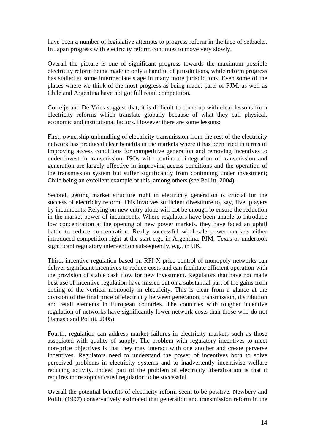have been a number of legislative attempts to progress reform in the face of setbacks. In Japan progress with electricity reform continues to move very slowly.

Overall the picture is one of significant progress towards the maximum possible electricity reform being made in only a handful of jurisdictions, while reform progress has stalled at some intermediate stage in many more jurisdictions. Even some of the places where we think of the most progress as being made: parts of PJM, as well as Chile and Argentina have not got full retail competition.

Correlie and De Vries suggest that, it is difficult to come up with clear lessons from electricity reforms which translate globally because of what they call physical, economic and institutional factors. However there are some lessons:

First, ownership unbundling of electricity transmission from the rest of the electricity network has produced clear benefits in the markets where it has been tried in terms of improving access conditions for competitive generation and removing incentives to under-invest in transmission. ISOs with continued integration of transmission and generation are largely effective in improving access conditions and the operation of the transmission system but suffer significantly from continuing under investment; Chile being an excellent example of this, among others (see Pollitt, 2004).

Second, getting market structure right in electricity generation is crucial for the success of electricity reform. This involves sufficient divestiture to, say, five players by incumbents. Relying on new entry alone will not be enough to ensure the reduction in the market power of incumbents. Where regulators have been unable to introduce low concentration at the opening of new power markets, they have faced an uphill battle to reduce concentration. Really successful wholesale power markets either introduced competition right at the start e.g., in Argentina, PJM, Texas or undertook significant regulatory intervention subsequently, e.g., in UK.

Third, incentive regulation based on RPI-X price control of monopoly networks can deliver significant incentives to reduce costs and can facilitate efficient operation with the provision of stable cash flow for new investment. Regulators that have not made best use of incentive regulation have missed out on a substantial part of the gains from ending of the vertical monopoly in electricity. This is clear from a glance at the division of the final price of electricity between generation, transmission, distribution and retail elements in European countries. The countries with tougher incentive regulation of networks have significantly lower network costs than those who do not (Jamasb and Pollitt, 2005).

Fourth, regulation can address market failures in electricity markets such as those associated with quality of supply. The problem with regulatory incentives to meet non-price objectives is that they may interact with one another and create perverse incentives. Regulators need to understand the power of incentives both to solve perceived problems in electricity systems and to inadvertently incentivise welfare reducing activity. Indeed part of the problem of electricity liberalisation is that it requires more sophisticated regulation to be successful.

Overall the potential benefits of electricity reform seem to be positive. Newbery and Pollitt (1997) conservatively estimated that generation and transmission reform in the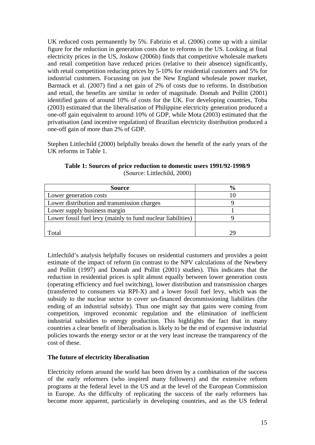UK reduced costs permanently by 5%. Fabrizio et al. (2006) come up with a similar figure for the reduction in generation costs due to reforms in the US. Looking at final electricity prices in the US, Joskow (2006b) finds that competitive wholesale markets and retail competition have reduced prices (relative to their absence) significantly, with retail competition reducing prices by 5-10% for residential customers and 5% for industrial customers. Focussing on just the New England wholesale power market, Barmack et al. (2007) find a net gain of 2% of costs due to reforms. In distribution and retail, the benefits are similar in order of magnitude. Domah and Pollitt (2001) identified gains of around 10% of costs for the UK. For developing countries, Toba (2003) estimated that the liberalisation of Philippine electricity generation produced a one-off gain equivalent to around 10% of GDP, while Mota (2003) estimated that the privatisation (and incentive regulation) of Brazilian electricity distribution produced a one-off gain of more than 2% of GDP.

Stephen Littlechild (2000) helpfully breaks down the benefit of the early years of the UK reforms in Table 1.

| <b>Source</b>                                               | $\frac{0}{0}$ |
|-------------------------------------------------------------|---------------|
| Lower generation costs                                      | 10            |
| Lower distribution and transmission charges                 |               |
| Lower supply business margin                                |               |
| Lower fossil fuel levy (mainly to fund nuclear liabilities) |               |
| Total                                                       | 29            |

**Table 1: Sources of price reduction to domestic users 1991/92-1998/9**  (Source: Littlechild, 2000)

Littlechild's analysis helpfully focuses on residential customers and provides a point estimate of the impact of reform (in contrast to the NPV calculations of the Newbery and Pollitt (1997) and Domah and Pollitt (2001) studies). This indicates that the reduction in residential prices is split almost equally between lower generation costs (operating efficiency and fuel switching), lower distribution and transmission charges (transferred to consumers via RPI-X) and a lower fossil fuel levy, which was the subsidy to the nuclear sector to cover un-financed decommissioning liabilities (the ending of an industrial subsidy). Thus one might say that gains were coming from competition, improved economic regulation and the elimination of inefficient industrial subsidies to energy production. This highlights the fact that in many countries a clear benefit of liberalisation is likely to be the end of expensive industrial policies towards the energy sector or at the very least increase the transparency of the cost of these.

# **The future of electricity liberalisation**

Electricity reform around the world has been driven by a combination of the success of the early reformers (who inspired many followers) and the extensive reform programs at the federal level in the US and at the level of the European Commission in Europe. As the difficulty of replicating the success of the early reformers has become more apparent, particularly in developing countries, and as the US federal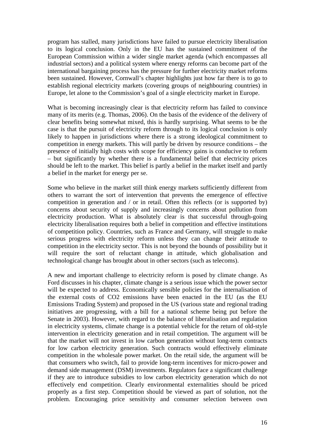program has stalled, many jurisdictions have failed to pursue electricity liberalisation to its logical conclusion. Only in the EU has the sustained commitment of the European Commission within a wider single market agenda (which encompasses all industrial sectors) and a political system where energy reforms can become part of the international bargaining process has the pressure for further electricity market reforms been sustained. However, Cornwall's chapter highlights just how far there is to go to establish regional electricity markets (covering groups of neighbouring countries) in Europe, let alone to the Commission's goal of a single electricity market in Europe.

What is becoming increasingly clear is that electricity reform has failed to convince many of its merits (e.g. Thomas, 2006). On the basis of the evidence of the delivery of clear benefits being somewhat mixed, this is hardly surprising. What seems to be the case is that the pursuit of electricity reform through to its logical conclusion is only likely to happen in jurisdictions where there is a strong ideological commitment to competition in energy markets. This will partly be driven by resource conditions – the presence of initially high costs with scope for efficiency gains is conducive to reform – but significantly by whether there is a fundamental belief that electricity prices should be left to the market. This belief is partly a belief in the market itself and partly a belief in the market for energy per se.

Some who believe in the market still think energy markets sufficiently different from others to warrant the sort of intervention that prevents the emergence of effective competition in generation and / or in retail. Often this reflects (or is supported by) concerns about security of supply and increasingly concerns about pollution from electricity production. What is absolutely clear is that successful through-going electricity liberalisation requires both a belief in competition and effective institutions of competition policy. Countries, such as France and Germany, will struggle to make serious progress with electricity reform unless they can change their attitude to competition in the electricity sector. This is not beyond the bounds of possibility but it will require the sort of reluctant change in attitude, which globalisation and technological change has brought about in other sectors (such as telecoms).

A new and important challenge to electricity reform is posed by climate change. As Ford discusses in his chapter, climate change is a serious issue which the power sector will be expected to address. Economically sensible policies for the internalisation of the external costs of CO2 emissions have been enacted in the EU (as the EU Emissions Trading System) and proposed in the US (various state and regional trading initiatives are progressing, with a bill for a national scheme being put before the Senate in 2003). However, with regard to the balance of liberalisation and regulation in electricity systems, climate change is a potential vehicle for the return of old-style intervention in electricity generation and in retail competition. The argument will be that the market will not invest in low carbon generation without long-term contracts for low carbon electricity generation. Such contracts would effectively eliminate competition in the wholesale power market. On the retail side, the argument will be that consumers who switch, fail to provide long-term incentives for micro-power and demand side management (DSM) investments. Regulators face a significant challenge if they are to introduce subsidies to low carbon electricity generation which do not effectively end competition. Clearly environmental externalities should be priced properly as a first step. Competition should be viewed as part of solution, not the problem. Encouraging price sensitivity and consumer selection between own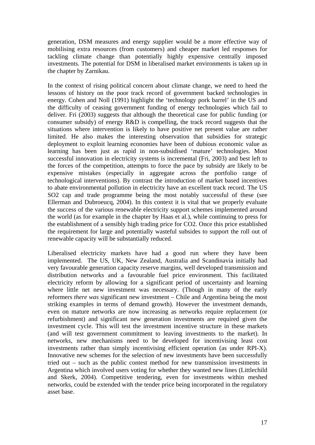generation, DSM measures and energy supplier would be a more effective way of mobilising extra resources (from customers) and cheaper market led responses for tackling climate change than potentially highly expensive centrally imposed investments. The potential for DSM in liberalised market environments is taken up in the chapter by Zarnikau.

In the context of rising political concern about climate change, we need to heed the lessons of history on the poor track record of government backed technologies in energy. Cohen and Noll (1991) highlight the 'technology pork barrel' in the US and the difficulty of ceasing government funding of energy technologies which fail to deliver. Fri (2003) suggests that although the theoretical case for public funding (or consumer subsidy) of energy R&D is compelling, the track record suggests that the situations where intervention is likely to have positive net present value are rather limited. He also makes the interesting observation that subsidies for strategic deployment to exploit learning economies have been of dubious economic value as learning has been just as rapid in non-subsidised 'mature' technologies. Most successful innovation in electricity systems is incremental (Fri, 2003) and best left to the forces of the competition, attempts to force the pace by subsidy are likely to be expensive mistakes (especially in aggregate across the portfolio range of technological interventions). By contrast the introduction of market based incentives to abate environmental pollution in electricity have an excellent track record. The US SO2 cap and trade programme being the most notably successful of these (see Ellerman and Dubroeucq, 2004). In this context it is vital that we properly evaluate the success of the various renewable electricity support schemes implemented around the world (as for example in the chapter by Haas et al.), while continuing to press for the establishment of a sensibly high trading price for CO2. Once this price established the requirement for large and potentially wasteful subsides to support the roll out of renewable capacity will be substantially reduced.

Liberalised electricity markets have had a good run where they have been implemented. The US, UK, New Zealand, Australia and Scandinavia initially had very favourable generation capacity reserve margins, well developed transmission and distribution networks and a favourable fuel price environment. This facilitated electricity reform by allowing for a significant period of uncertainty and learning where little net new investment was necessary. (Though in many of the early reformers *there was* significant new investment – Chile and Argentina being the most striking examples in terms of demand growth). However the investment demands, even on mature networks are now increasing as networks require replacement (or refurbishment) and significant new generation investments are required given the investment cycle. This will test the investment incentive structure in these markets (and will test government commitment to leaving investments to the market). In networks, new mechanisms need to be developed for incentivising least cost investments rather than simply incentivising efficient operation (as under RPI-X). Innovative new schemes for the selection of new investments have been successfully tried out – such as the public contest method for new transmission investments in Argentina which involved users voting for whether they wanted new lines (Littlechild and Skerk, 2004). Competitive tendering, even for investments within meshed networks, could be extended with the tender price being incorporated in the regulatory asset base.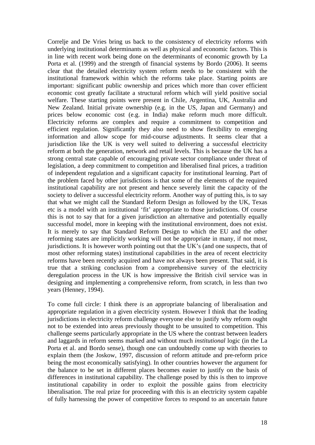Correlje and De Vries bring us back to the consistency of electricity reforms with underlying institutional determinants as well as physical and economic factors. This is in line with recent work being done on the determinants of economic growth by La Porta et al. (1999) and the strength of financial systems by Bordo (2006). It seems clear that the detailed electricity system reform needs to be consistent with the institutional framework within which the reforms take place. Starting points are important: significant public ownership and prices which more than cover efficient economic cost greatly facilitate a structural reform which will yield positive social welfare. These starting points were present in Chile, Argentina, UK, Australia and New Zealand. Initial private ownership (e.g. in the US, Japan and Germany) and prices below economic cost (e.g. in India) make reform much more difficult. Electricity reforms are complex and require a commitment to competition and efficient regulation. Significantly they also need to show flexibility to emerging information and allow scope for mid-course adjustments. It seems clear that a jurisdiction like the UK is very well suited to delivering a successful electricity reform at both the generation, network and retail levels. This is because the UK has a strong central state capable of encouraging private sector compliance under threat of legislation, a deep commitment to competition and liberalised final prices, a tradition of independent regulation and a significant capacity for institutional learning. Part of the problem faced by other jurisdictions is that some of the elements of the required institutional capability are not present and hence severely limit the capacity of the society to deliver a successful electricity reform. Another way of putting this, is to say that what we might call the Standard Reform Design as followed by the UK, Texas etc is a model with an institutional 'fit' appropriate to those jurisdictions. Of course this is not to say that for a given jurisdiction an alternative and potentially equally successful model, more in keeping with the institutional environment, does not exist. It is merely to say that Standard Reform Design to which the EU and the other reforming states are implicitly working will not be appropriate in many, if not most, jurisdictions. It is however worth pointing out that the UK's (and one suspects, that of most other reforming states) institutional capabilities in the area of recent electricity reforms have been recently acquired and have not always been present. That said, it is true that a striking conclusion from a comprehensive survey of the electricity deregulation process in the UK is how impressive the British civil service was in designing and implementing a comprehensive reform, from scratch, in less than two years (Henney, 1994).

To come full circle: I think there *is* an appropriate balancing of liberalisation and appropriate regulation in a given electricity system. However I think that the leading jurisdictions in electricity reform challenge everyone else to justify why reform ought not to be extended into areas previously thought to be unsuited to competition. This challenge seems particularly appropriate in the US where the contrast between leaders and laggards in reform seems marked and without much *institutional* logic (in the La Porta et al. and Bordo sense), though one can undoubtedly come up with theories to explain them (the Joskow, 1997, discussion of reform attitude and pre-reform price being the most economically satisfying). In other countries however the argument for the balance to be set in different places becomes easier to justify on the basis of differences in institutional capability. The challenge posed by this is then to improve institutional capability in order to exploit the possible gains from electricity liberalisation. The real prize for proceeding with this is an electricity system capable of fully harnessing the power of competitive forces to respond to an uncertain future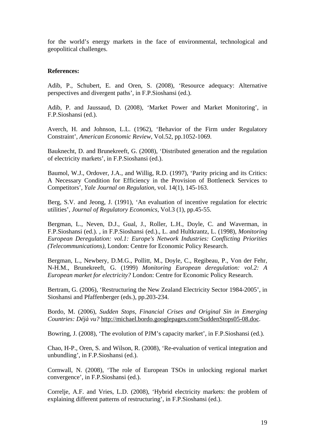for the world's energy markets in the face of environmental, technological and geopolitical challenges.

# **References:**

Adib, P., Schubert, E. and Oren, S. (2008), 'Resource adequacy: Alternative perspectives and divergent paths', in F.P.Sioshansi (ed.).

Adib, P. and Jaussaud, D. (2008), 'Market Power and Market Monitoring', in F.P.Sioshansi (ed.).

Averch, H. and Johnson, L.L. (1962), 'Behavior of the Firm under Regulatory Constraint', *American Economic Review*, Vol.52, pp.1052-1069.

Bauknecht, D. and Brunekreeft, G. (2008), 'Distributed generation and the regulation of electricity markets', in F.P.Sioshansi (ed.).

Baumol, W.J., Ordover, J.A., and Willig, R.D. (1997), 'Parity pricing and its Critics: A Necessary Condition for Efficiency in the Provision of Bottleneck Services to Competitors', *Yale Journal on Regulation*, vol. 14(1), 145-163.

Berg, S.V. and Jeong, J. (1991), 'An evaluation of incentive regulation for electric utilities', *Journal of Regulatory Economics*, Vol.3 (1), pp.45-55.

Bergman, L., Neven, D.J., Gual, J., Roller, L.H., Doyle, C. and Waverman, in F.P.Sioshansi (ed.). , in F.P.Sioshansi (ed.)., L. and Hultkrantz, L. (1998), *Monitoring European Deregulation: vol.1: Europe's Network Industries: Conflicting Priorities (Telecommunications),* London: Centre for Economic Policy Research.

Bergman, L., Newbery, D.M.G., Pollitt, M., Doyle, C., Regibeau, P., Von der Fehr, N-H.M., Brunekreeft, G. (1999) *Monitoring European deregulation: vol.2: A European market for electricity?* London: Centre for Economic Policy Research.

Bertram, G. (2006), 'Restructuring the New Zealand Electricity Sector 1984-2005', in Sioshansi and Pfaffenberger (eds.), pp.203-234.

Bordo, M. (2006), *Sudden Stops, Financial Crises and Original Sin in Emerging Countries: Déjà vu?* [http://michael.bordo.googlepages.com/SuddenStops05-08.doc.](http://michael.bordo.googlepages.com/SuddenStops05-08.doc)

Bowring, J. (2008), 'The evolution of PJM's capacity market', in F.P.Sioshansi (ed.).

Chao, H-P., Oren, S. and Wilson, R. (2008), 'Re-evaluation of vertical integration and unbundling', in F.P.Sioshansi (ed.).

Cornwall, N. (2008), 'The role of European TSOs in unlocking regional market convergence', in F.P.Sioshansi (ed.).

Correlje, A.F. and Vries, L.D. (2008), 'Hybrid electricity markets: the problem of explaining different patterns of restructuring', in F.P.Sioshansi (ed.).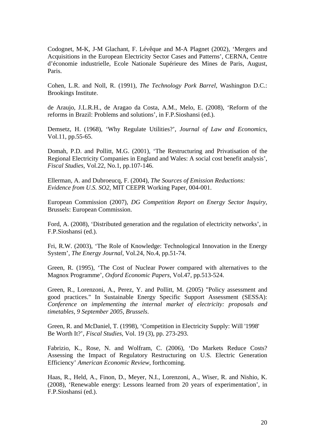Codognet, M-K, J-M Glachant, F. Lévêque and M-A Plagnet (2002), 'Mergers and Acquisitions in the European Electricity Sector Cases and Patterns', CERNA, Centre d'économie industrielle, Ecole Nationale Supérieure des Mines de Paris, August, Paris.

Cohen, L.R. and Noll, R. (1991), *The Technology Pork Barrel*, Washington D.C.: Brookings Institute.

de Araujo, J.L.R.H., de Aragao da Costa, A.M., Melo, E. (2008), 'Reform of the reforms in Brazil: Problems and solutions', in F.P.Sioshansi (ed.).

Demsetz, H. (1968), 'Why Regulate Utilities?', *Journal of Law and Economics*, Vol.11, pp.55-65.

Domah, P.D. and Pollitt, M.G. (2001), 'The Restructuring and Privatisation of the Regional Electricity Companies in England and Wales: A social cost benefit analysis', *Fiscal Studies*, Vol.22, No.1, pp.107-146.

Ellerman, A. and Dubroeucq, F. (2004), *The Sources of Emission Reductions: Evidence from U.S. SO2*, MIT CEEPR Working Paper, 004-001.

European Commission (2007), *DG Competition Report on Energy Sector Inquiry*, Brussels: European Commission.

Ford, A. (2008), 'Distributed generation and the regulation of electricity networks', in F.P.Sioshansi (ed.).

Fri, R.W. (2003), 'The Role of Knowledge: Technological Innovation in the Energy System', *The Energy Journal*, Vol.24, No.4, pp.51-74.

Green, R. (1995), 'The Cost of Nuclear Power compared with alternatives to the Magnox Programme', *Oxford Economic Papers*, Vol.47, pp.513-524.

Green, R., Lorenzoni, A., Perez, Y. and Pollitt, M. (2005) "Policy assessment and good practices." In Sustainable Energy Specific Support Assessment (SESSA): *Conference on implementing the internal market of electricity: proposals and timetables, 9 September 2005, Brussels*.

Green, R. and McDaniel, T. (1998), 'Competition in Electricity Supply: Will '1998' Be Worth It?', *Fiscal Studies*, Vol. 19 (3), pp. 273-293.

Fabrizio, K., Rose, N. and Wolfram, C. (2006), '[Do Markets Reduce Costs?](http://faculty.haas.berkeley.edu/wolfram/Papers/frw.aerresub.pdf)  [Assessing the Impact of Regulatory Restructuring on U.S. Electric Generation](http://faculty.haas.berkeley.edu/wolfram/Papers/frw.aerresub.pdf)  [Efficiency'](http://faculty.haas.berkeley.edu/wolfram/Papers/frw.aerresub.pdf) *American Economic Review*, forthcoming.

Haas, R., Held, A., Finon, D., Meyer, N.I., Lorenzoni, A., Wiser, R. and Nishio, K. (2008), 'Renewable energy: Lessons learned from 20 years of experimentation', in F.P.Sioshansi (ed.).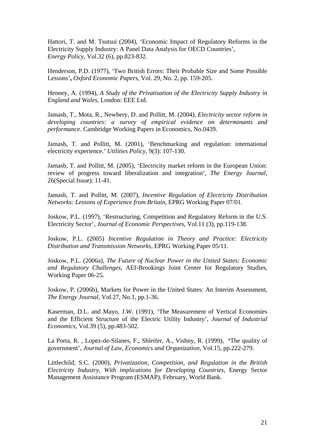Hattori, T. and M. Tsutsui (2004), 'Economic Impact of Regulatory Reforms in the Electricity Supply Industry: A Panel Data Analysis for OECD Countries', *Energy Policy*, [Vol.32 \(6](http://www.sciencedirect.com/science?_ob=PublicationURL&_tockey=%23TOC%235713%232004%23999679993%23463055%23FLA%23&_cdi=5713&_pubType=J&view=c&_auth=y&_acct=C000053194&_version=1&_urlVersion=0&_userid=1495569&md5=b6523a420f4a588a581672aca6cd28e7)), pp.823-832.

Henderson, P.D. (1977), 'Two British Errors: Their Probable Size and Some Possible Lessons'**,** *Oxford Economic Papers*, Vol. 29, No. 2, pp. 159-205.

Henney, A. (1994), *A Study of the Privatisation of the Electricity Supply Industry in England and Wales*, London: EEE Ltd.

Jamasb, T., Mota, R., Newbery, D. and Pollitt, M. (2004), *Electricity sector reform in developing countries: a survey of empirical evidence on determinants and performance.* Cambridge Working Papers in Economics, No.0439.

Jamasb, T. and Pollitt, M. (2001), 'Benchmarking and regulation: international electricity experience.' *Utilities Policy*, 9(3): 107-130.

Jamasb, T. and Pollitt, M. (2005), 'Electricity market reform in the European Union: review of progress toward liberalization and integration', *The Energy Journal*, 26(Special Issue): 11-41.

Jamasb, T. and Pollitt, M. (2007), *Incentive Regulation of Electricity Distribution Networks: Lessons of Experience from Britain*, EPRG Working Paper 07/01.

Joskow, P.L. (1997), 'Restructuring, Competition and Regulatory Reform in the U.S. Electricity Sector', *Journal of Economic Perspectives*, Vol.11 (3), pp.119-138.

Joskow, P.L. (2005) *Incentive Regulation in Theory and Practice: Electricity Distribution and Transmission Networks*, EPRG Working Paper 05/11.

Joskow, P.L. (2006a), *The Future of Nuclear Power in the United States: Economic and Regulatory Challenges*, AEI-Brookings Joint Center for Regulatory Studies, Working Paper 06-25.

Joskow, P. (2006b), Markets for Power in the United States: An Interim Assessment, *The Energy Journal*, Vol.27, No.1, pp.1-36.

Kaserman, D.L. and Mayo, J.W. (1991), 'The Measurement of Vertical Economies and the Efficient Structure of the Electric Utility Industry', *Journal of Industrial Economics*, Vol.39 (5), pp.483-502.

La Porta, R. , Lopez-de-Silanes, F., Shleifer, A., Vishny, R. (1999), **'**The quality of government', *Journal of Law, Economics and Organization*, Vol.15, pp.222-279.

Littlechild, S.C. (2000), *Privatization, Competition, and Regulation in the British Electricity Industry, With implications for Developing Countries*, Energy Sector Management Assistance Program (ESMAP), February, World Bank.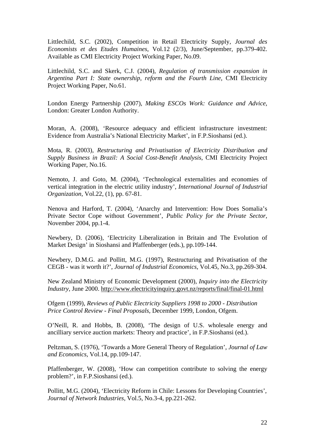Littlechild, S.C. (2002), Competition in Retail Electricity Supply, *Journal des Economists et des Etudes Humaines*, Vol.12 (2/3), June/September, pp.379-402. Available as CMI Electricity Project Working Paper, No.09.

Littlechild, S.C. and Skerk, C.J. (2004), *Regulation of transmission expansion in Argentina Part I: State ownership, reform and the Fourth Line*, CMI Electricity Project Working Paper, No.61.

London Energy Partnership (2007), *Making ESCOs Work: Guidance and Advice*, London: Greater London Authority.

Moran, A. (2008), 'Resource adequacy and efficient infrastructure investment: Evidence from Australia's National Electricity Market', in F.P.Sioshansi (ed.).

Mota, R. (2003), *Restructuring and Privatisation of Electricity Distribution and Supply Business in Brazil: A Social Cost-Benefit Analysis*, CMI Electricity Project Working Paper, No.16.

Nemoto, J. and Goto, M. (2004), 'Technological externalities and economies of vertical integration in the electric utility industry', *[International Journal of Industrial](http://www.ingentaconnect.com/content/els/01677187;jsessionid=1u7276bal9mer.alice)  [Organization](http://www.ingentaconnect.com/content/els/01677187;jsessionid=1u7276bal9mer.alice)*, Vol.22, (1), pp. 67-81.

Nenova and Harford, T. (2004), 'Anarchy and Intervention: How Does Somalia's Private Sector Cope without Government', *Public Policy for the Private Sector*, November 2004, pp.1-4.

Newbery, D. (2006), 'Electricity Liberalization in Britain and The Evolution of Market Design' in Sioshansi and Pfaffenberger (eds.), pp.109-144.

Newbery, D.M.G. and Pollitt, M.G. (1997), Restructuring and Privatisation of the CEGB - was it worth it?', *Journal of Industrial Economics*, Vol.45, No.3, pp.269-304.

New Zealand Ministry of Economic Development (2000), *Inquiry into the Electricity Industry,* June 2000. <http://www.electricityinquiry.govt.nz/reports/final/final-01.html>

Ofgem (1999), *Reviews of Public Electricity Suppliers 1998 to 2000 - Distribution Price Control Review - Final Proposals*, December 1999, London, Ofgem.

O'Neill, R. and Hobbs, B. (2008), 'The design of U.S. wholesale energy and ancilliary service auction markets: Theory and practice', in F.P.Sioshansi (ed.).

Peltzman, S. (1976), 'Towards a More General Theory of Regulation', *Journal of Law and Economics*, Vol.14, pp.109-147.

Pfaffenberger, W. (2008), 'How can competition contribute to solving the energy problem?', in F.P.Sioshansi (ed.).

Pollitt, M.G. (2004), 'Electricity Reform in Chile: Lessons for Developing Countries', *Journal of Network Industries*, Vol.5, No.3-4, pp.221-262.